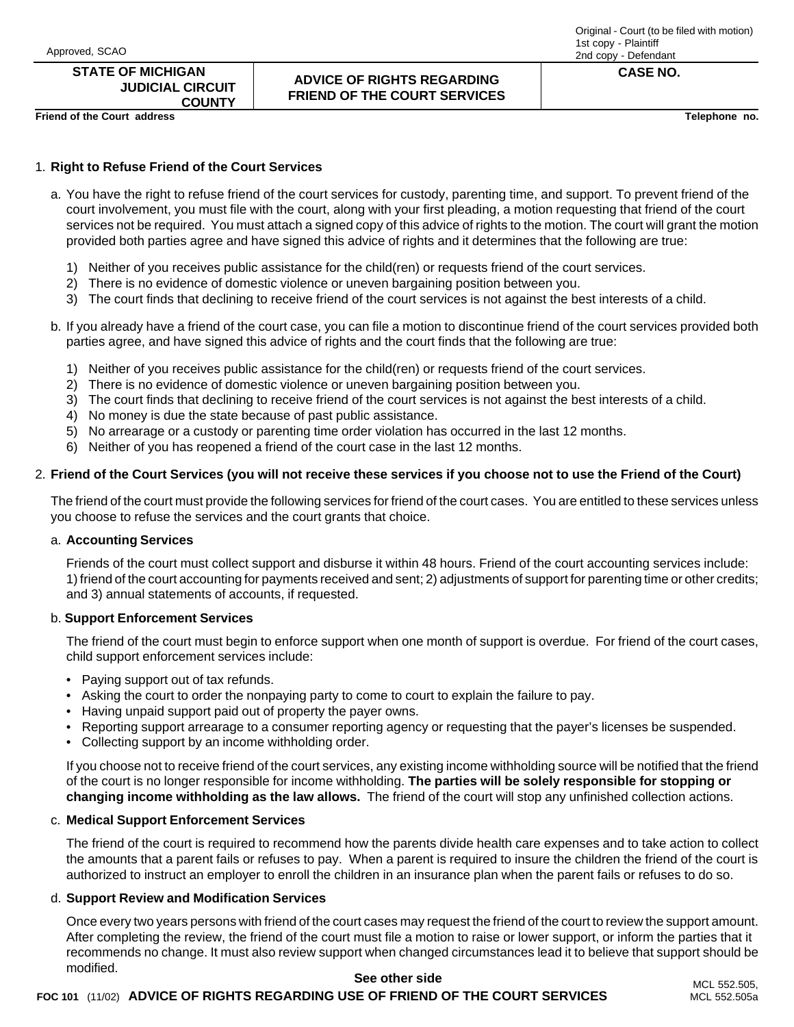### **STATE OF MICHIGAN JUDICIAL CIRCUIT**

**COUNTY**

### **ADVICE OF RIGHTS REGARDING FRIEND OF THE COURT SERVICES**

#### Original - Court (to be filed with motion) 1st copy - Plaintiff 2nd copy - Defendant

**CASE NO.**

**Friend of the Court address Telephone no.**

### 1. **Right to Refuse Friend of the Court Services**

- a. You have the right to refuse friend of the court services for custody, parenting time, and support. To prevent friend of the court involvement, you must file with the court, along with your first pleading, a motion requesting that friend of the court services not be required. You must attach a signed copy of this advice of rights to the motion. The court will grant the motion provided both parties agree and have signed this advice of rights and it determines that the following are true:
	- 1) Neither of you receives public assistance for the child(ren) or requests friend of the court services.
	- 2) There is no evidence of domestic violence or uneven bargaining position between you.
	- 3) The court finds that declining to receive friend of the court services is not against the best interests of a child.
- b. If you already have a friend of the court case, you can file a motion to discontinue friend of the court services provided both parties agree, and have signed this advice of rights and the court finds that the following are true:
	- 1) Neither of you receives public assistance for the child(ren) or requests friend of the court services.
	- 2) There is no evidence of domestic violence or uneven bargaining position between you.
	- 3) The court finds that declining to receive friend of the court services is not against the best interests of a child.
	- 4) No money is due the state because of past public assistance.
	- 5) No arrearage or a custody or parenting time order violation has occurred in the last 12 months.
	- 6) Neither of you has reopened a friend of the court case in the last 12 months.

### 2. **Friend of the Court Services (you will not receive these services if you choose not to use the Friend of the Court)**

The friend of the court must provide the following services for friend of the court cases. You are entitled to these services unless you choose to refuse the services and the court grants that choice.

#### a. **Accounting Services**

Friends of the court must collect support and disburse it within 48 hours. Friend of the court accounting services include: 1) friend of the court accounting for payments received and sent; 2) adjustments of support for parenting time or other credits; and 3) annual statements of accounts, if requested.

### b. **Support Enforcement Services**

The friend of the court must begin to enforce support when one month of support is overdue. For friend of the court cases, child support enforcement services include:

- Paying support out of tax refunds.
- Asking the court to order the nonpaying party to come to court to explain the failure to pay.
- Having unpaid support paid out of property the payer owns.
- Reporting support arrearage to a consumer reporting agency or requesting that the payer's licenses be suspended.
- Collecting support by an income withholding order.

If you choose not to receive friend of the court services, any existing income withholding source will be notified that the friend of the court is no longer responsible for income withholding. **The parties will be solely responsible for stopping or changing income withholding as the law allows.** The friend of the court will stop any unfinished collection actions.

#### c. **Medical Support Enforcement Services**

The friend of the court is required to recommend how the parents divide health care expenses and to take action to collect the amounts that a parent fails or refuses to pay. When a parent is required to insure the children the friend of the court is authorized to instruct an employer to enroll the children in an insurance plan when the parent fails or refuses to do so.

#### d. **Support Review and Modification Services**

Once every two years persons with friend of the court cases may request the friend of the court to review the support amount. After completing the review, the friend of the court must file a motion to raise or lower support, or inform the parties that it recommends no change. It must also review support when changed circumstances lead it to believe that support should be modified. **See other side**

# **FOC 101** (11/02) **ADVICE OF RIGHTS REGARDING USE OF FRIEND OF THE COURT SERVICES**